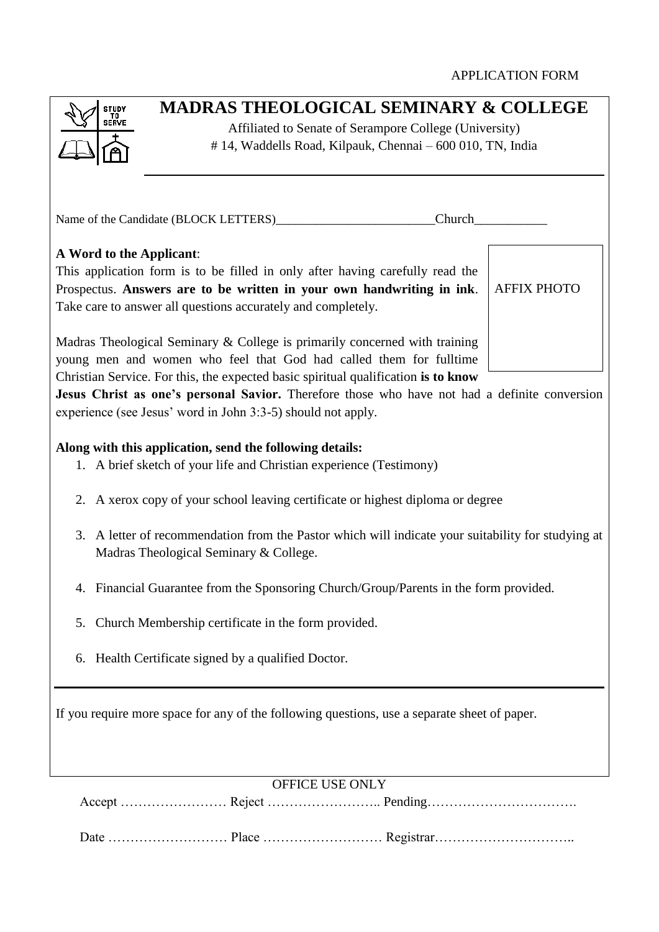| <b>MADRAS THEOLOGICAL SEMINARY &amp; COLLEGE</b><br><b>STUDY</b><br>TO<br>SERVE<br>Affiliated to Senate of Serampore College (University)                                                                                                                                                                                                                                                               |
|---------------------------------------------------------------------------------------------------------------------------------------------------------------------------------------------------------------------------------------------------------------------------------------------------------------------------------------------------------------------------------------------------------|
| #14, Waddells Road, Kilpauk, Chennai - 600 010, TN, India                                                                                                                                                                                                                                                                                                                                               |
|                                                                                                                                                                                                                                                                                                                                                                                                         |
| Name of the Candidate (BLOCK LETTERS)<br>Church                                                                                                                                                                                                                                                                                                                                                         |
| A Word to the Applicant:<br>This application form is to be filled in only after having carefully read the<br>Prospectus. Answers are to be written in your own handwriting in ink.<br><b>AFFIX PHOTO</b><br>Take care to answer all questions accurately and completely.                                                                                                                                |
| Madras Theological Seminary & College is primarily concerned with training<br>young men and women who feel that God had called them for fulltime<br>Christian Service. For this, the expected basic spiritual qualification is to know<br>Jesus Christ as one's personal Savior. Therefore those who have not had a definite conversion<br>experience (see Jesus' word in John 3:3-5) should not apply. |
| Along with this application, send the following details:<br>1. A brief sketch of your life and Christian experience (Testimony)                                                                                                                                                                                                                                                                         |
| 2. A xerox copy of your school leaving certificate or highest diploma or degree                                                                                                                                                                                                                                                                                                                         |
| 3. A letter of recommendation from the Pastor which will indicate your suitability for studying at<br>Madras Theological Seminary & College.                                                                                                                                                                                                                                                            |
| 4. Financial Guarantee from the Sponsoring Church/Group/Parents in the form provided.                                                                                                                                                                                                                                                                                                                   |
| Church Membership certificate in the form provided.<br>5.                                                                                                                                                                                                                                                                                                                                               |
| 6. Health Certificate signed by a qualified Doctor.                                                                                                                                                                                                                                                                                                                                                     |
| If you require more space for any of the following questions, use a separate sheet of paper.                                                                                                                                                                                                                                                                                                            |
| OFFICE USE ONLY                                                                                                                                                                                                                                                                                                                                                                                         |
|                                                                                                                                                                                                                                                                                                                                                                                                         |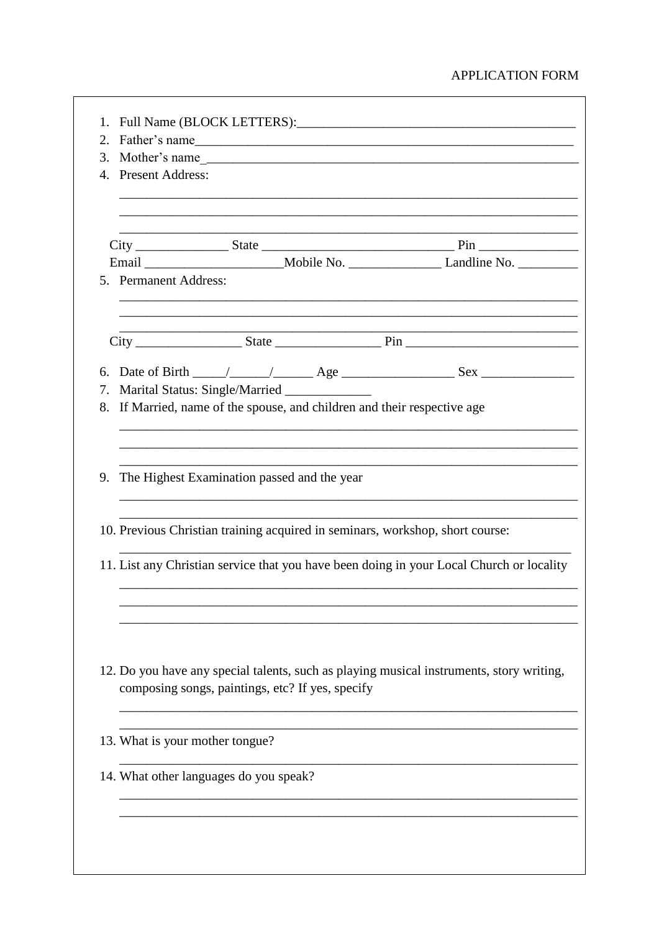## APPLICATION FORM

| 3. |                                                                               |                                                  |  |                                                                                                      |  |
|----|-------------------------------------------------------------------------------|--------------------------------------------------|--|------------------------------------------------------------------------------------------------------|--|
|    | 4. Present Address:                                                           |                                                  |  |                                                                                                      |  |
|    |                                                                               |                                                  |  |                                                                                                      |  |
|    |                                                                               |                                                  |  |                                                                                                      |  |
|    | 5. Permanent Address:                                                         |                                                  |  |                                                                                                      |  |
|    |                                                                               |                                                  |  |                                                                                                      |  |
|    |                                                                               |                                                  |  | 6. Date of Birth $\_\_\_\_\_\_\_\_\_\_\_\_\_\_\_\_\_$ Age $\_\_\_\_\_\_\_\_\_\_\_\_\_\_\_\_\_\_\_\_$ |  |
|    |                                                                               | 7. Marital Status: Single/Married _____________  |  |                                                                                                      |  |
| 8. | If Married, name of the spouse, and children and their respective age         |                                                  |  |                                                                                                      |  |
|    |                                                                               |                                                  |  |                                                                                                      |  |
|    |                                                                               |                                                  |  |                                                                                                      |  |
|    | 9. The Highest Examination passed and the year                                |                                                  |  |                                                                                                      |  |
|    | 10. Previous Christian training acquired in seminars, workshop, short course: |                                                  |  |                                                                                                      |  |
|    |                                                                               |                                                  |  | 11. List any Christian service that you have been doing in your Local Church or locality             |  |
|    |                                                                               |                                                  |  |                                                                                                      |  |
|    |                                                                               |                                                  |  | 12. Do you have any special talents, such as playing musical instruments, story writing,             |  |
|    |                                                                               | composing songs, paintings, etc? If yes, specify |  |                                                                                                      |  |
|    | 13. What is your mother tongue?                                               |                                                  |  |                                                                                                      |  |
|    |                                                                               | 14. What other languages do you speak?           |  |                                                                                                      |  |
|    |                                                                               |                                                  |  |                                                                                                      |  |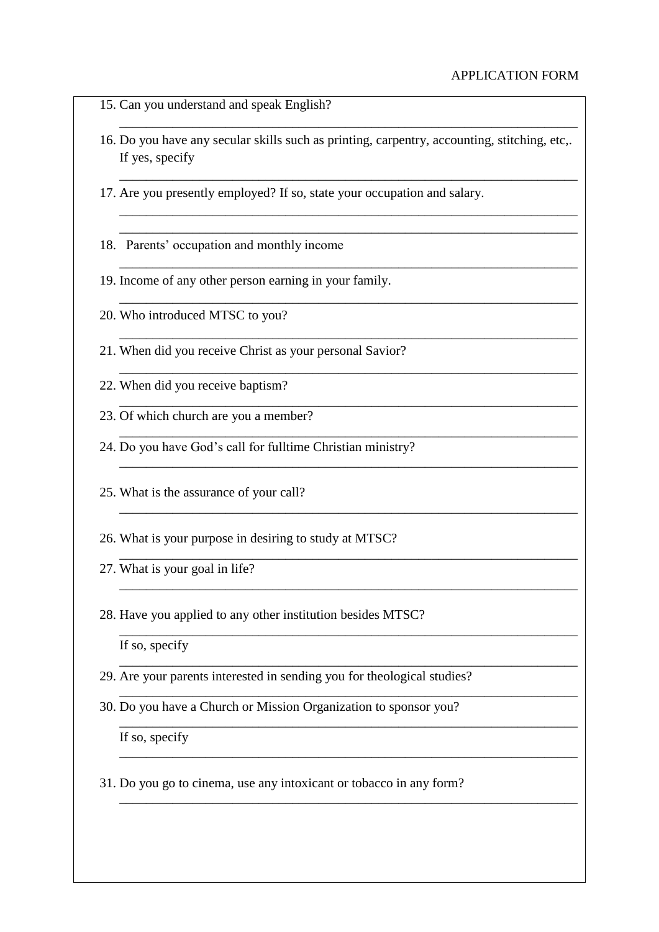- 15. Can you understand and speak English?
- 16. Do you have any secular skills such as printing, carpentry, accounting, stitching, etc,. If yes, specify

\_\_\_\_\_\_\_\_\_\_\_\_\_\_\_\_\_\_\_\_\_\_\_\_\_\_\_\_\_\_\_\_\_\_\_\_\_\_\_\_\_\_\_\_\_\_\_\_\_\_\_\_\_\_\_\_\_\_\_\_\_\_\_\_\_\_\_\_\_

\_\_\_\_\_\_\_\_\_\_\_\_\_\_\_\_\_\_\_\_\_\_\_\_\_\_\_\_\_\_\_\_\_\_\_\_\_\_\_\_\_\_\_\_\_\_\_\_\_\_\_\_\_\_\_\_\_\_\_\_\_\_\_\_\_\_\_\_\_

\_\_\_\_\_\_\_\_\_\_\_\_\_\_\_\_\_\_\_\_\_\_\_\_\_\_\_\_\_\_\_\_\_\_\_\_\_\_\_\_\_\_\_\_\_\_\_\_\_\_\_\_\_\_\_\_\_\_\_\_\_\_\_\_\_\_\_\_\_ \_\_\_\_\_\_\_\_\_\_\_\_\_\_\_\_\_\_\_\_\_\_\_\_\_\_\_\_\_\_\_\_\_\_\_\_\_\_\_\_\_\_\_\_\_\_\_\_\_\_\_\_\_\_\_\_\_\_\_\_\_\_\_\_\_\_\_\_\_

\_\_\_\_\_\_\_\_\_\_\_\_\_\_\_\_\_\_\_\_\_\_\_\_\_\_\_\_\_\_\_\_\_\_\_\_\_\_\_\_\_\_\_\_\_\_\_\_\_\_\_\_\_\_\_\_\_\_\_\_\_\_\_\_\_\_\_\_\_

\_\_\_\_\_\_\_\_\_\_\_\_\_\_\_\_\_\_\_\_\_\_\_\_\_\_\_\_\_\_\_\_\_\_\_\_\_\_\_\_\_\_\_\_\_\_\_\_\_\_\_\_\_\_\_\_\_\_\_\_\_\_\_\_\_\_\_\_\_

\_\_\_\_\_\_\_\_\_\_\_\_\_\_\_\_\_\_\_\_\_\_\_\_\_\_\_\_\_\_\_\_\_\_\_\_\_\_\_\_\_\_\_\_\_\_\_\_\_\_\_\_\_\_\_\_\_\_\_\_\_\_\_\_\_\_\_\_\_

\_\_\_\_\_\_\_\_\_\_\_\_\_\_\_\_\_\_\_\_\_\_\_\_\_\_\_\_\_\_\_\_\_\_\_\_\_\_\_\_\_\_\_\_\_\_\_\_\_\_\_\_\_\_\_\_\_\_\_\_\_\_\_\_\_\_\_\_\_

\_\_\_\_\_\_\_\_\_\_\_\_\_\_\_\_\_\_\_\_\_\_\_\_\_\_\_\_\_\_\_\_\_\_\_\_\_\_\_\_\_\_\_\_\_\_\_\_\_\_\_\_\_\_\_\_\_\_\_\_\_\_\_\_\_\_\_\_\_

\_\_\_\_\_\_\_\_\_\_\_\_\_\_\_\_\_\_\_\_\_\_\_\_\_\_\_\_\_\_\_\_\_\_\_\_\_\_\_\_\_\_\_\_\_\_\_\_\_\_\_\_\_\_\_\_\_\_\_\_\_\_\_\_\_\_\_\_\_

\_\_\_\_\_\_\_\_\_\_\_\_\_\_\_\_\_\_\_\_\_\_\_\_\_\_\_\_\_\_\_\_\_\_\_\_\_\_\_\_\_\_\_\_\_\_\_\_\_\_\_\_\_\_\_\_\_\_\_\_\_\_\_\_\_\_\_\_\_

\_\_\_\_\_\_\_\_\_\_\_\_\_\_\_\_\_\_\_\_\_\_\_\_\_\_\_\_\_\_\_\_\_\_\_\_\_\_\_\_\_\_\_\_\_\_\_\_\_\_\_\_\_\_\_\_\_\_\_\_\_\_\_\_\_\_\_\_\_

\_\_\_\_\_\_\_\_\_\_\_\_\_\_\_\_\_\_\_\_\_\_\_\_\_\_\_\_\_\_\_\_\_\_\_\_\_\_\_\_\_\_\_\_\_\_\_\_\_\_\_\_\_\_\_\_\_\_\_\_\_\_\_\_\_\_\_\_\_

\_\_\_\_\_\_\_\_\_\_\_\_\_\_\_\_\_\_\_\_\_\_\_\_\_\_\_\_\_\_\_\_\_\_\_\_\_\_\_\_\_\_\_\_\_\_\_\_\_\_\_\_\_\_\_\_\_\_\_\_\_\_\_\_\_\_\_\_\_

\_\_\_\_\_\_\_\_\_\_\_\_\_\_\_\_\_\_\_\_\_\_\_\_\_\_\_\_\_\_\_\_\_\_\_\_\_\_\_\_\_\_\_\_\_\_\_\_\_\_\_\_\_\_\_\_\_\_\_\_\_\_\_\_\_\_\_\_\_

\_\_\_\_\_\_\_\_\_\_\_\_\_\_\_\_\_\_\_\_\_\_\_\_\_\_\_\_\_\_\_\_\_\_\_\_\_\_\_\_\_\_\_\_\_\_\_\_\_\_\_\_\_\_\_\_\_\_\_\_\_\_\_\_\_\_\_\_\_

\_\_\_\_\_\_\_\_\_\_\_\_\_\_\_\_\_\_\_\_\_\_\_\_\_\_\_\_\_\_\_\_\_\_\_\_\_\_\_\_\_\_\_\_\_\_\_\_\_\_\_\_\_\_\_\_\_\_\_\_\_\_\_\_\_\_\_\_\_

\_\_\_\_\_\_\_\_\_\_\_\_\_\_\_\_\_\_\_\_\_\_\_\_\_\_\_\_\_\_\_\_\_\_\_\_\_\_\_\_\_\_\_\_\_\_\_\_\_\_\_\_\_\_\_\_\_\_\_\_\_\_\_\_\_\_\_\_\_

\_\_\_\_\_\_\_\_\_\_\_\_\_\_\_\_\_\_\_\_\_\_\_\_\_\_\_\_\_\_\_\_\_\_\_\_\_\_\_\_\_\_\_\_\_\_\_\_\_\_\_\_\_\_\_\_\_\_\_\_\_\_\_\_\_\_\_\_\_

\_\_\_\_\_\_\_\_\_\_\_\_\_\_\_\_\_\_\_\_\_\_\_\_\_\_\_\_\_\_\_\_\_\_\_\_\_\_\_\_\_\_\_\_\_\_\_\_\_\_\_\_\_\_\_\_\_\_\_\_\_\_\_\_\_\_\_\_\_

- 17. Are you presently employed? If so, state your occupation and salary.
- 18. Parents' occupation and monthly income
- 19. Income of any other person earning in your family.
- 20. Who introduced MTSC to you?
- 21. When did you receive Christ as your personal Savior?
- 22. When did you receive baptism?
- 23. Of which church are you a member?
- 24. Do you have God's call for fulltime Christian ministry?
- 25. What is the assurance of your call?
- 26. What is your purpose in desiring to study at MTSC?
- 27. What is your goal in life?
- 28. Have you applied to any other institution besides MTSC?

If so, specify

- 29. Are your parents interested in sending you for theological studies?
- 30. Do you have a Church or Mission Organization to sponsor you?

If so, specify

31. Do you go to cinema, use any intoxicant or tobacco in any form?